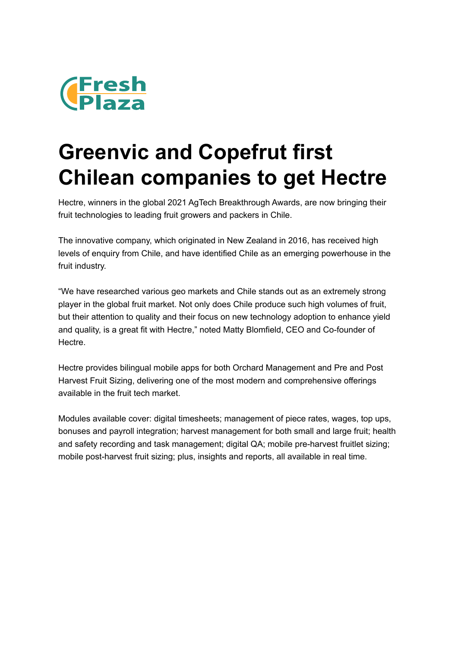

## **Greenvic and Copefrut first Chilean companies to get Hectre**

Hectre, winners in the global 2021 AgTech Breakthrough Awards, are now bringing their fruit technologies to leading fruit growers and packers in Chile.

The innovative company, which originated in New Zealand in 2016, has received high levels of enquiry from Chile, and have identified Chile as an emerging powerhouse in the fruit industry.

"We have researched various geo markets and Chile stands out as an extremely strong player in the global fruit market. Not only does Chile produce such high volumes of fruit, but their attention to quality and their focus on new technology adoption to enhance yield and quality, is a great fit with Hectre," noted Matty Blomfield, CEO and Co-founder of Hectre.

Hectre provides bilingual mobile apps for both Orchard Management and Pre and Post Harvest Fruit Sizing, delivering one of the most modern and comprehensive offerings available in the fruit tech market.

Modules available cover: digital timesheets; management of piece rates, wages, top ups, bonuses and payroll integration; harvest management for both small and large fruit; health and safety recording and task management; digital QA; mobile pre-harvest fruitlet sizing; mobile post-harvest fruit sizing; plus, insights and reports, all available in real time.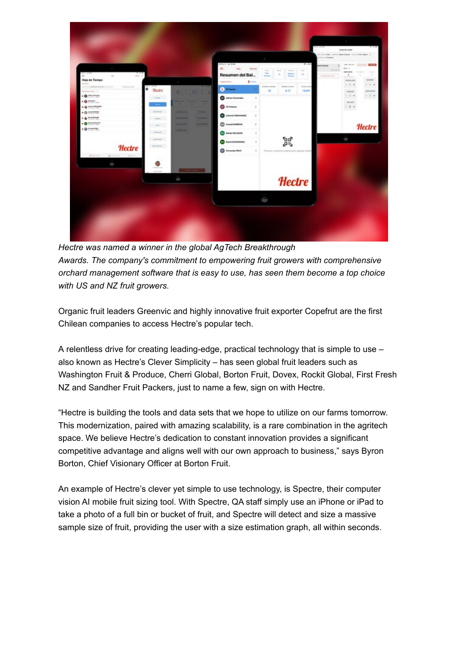

*Hectre was named a winner in the global AgTech Breakthrough Awards. The company's commitment to empowering fruit growers with comprehensive orchard management software that is easy to use, has seen them become a top choice with US and NZ fruit growers.*

Organic fruit leaders Greenvic and highly innovative fruit exporter Copefrut are the first Chilean companies to access Hectre's popular tech.

A relentless drive for creating leading-edge, practical technology that is simple to use – also known as Hectre's Clever Simplicity – has seen global fruit leaders such as Washington Fruit & Produce, Cherri Global, Borton Fruit, Dovex, Rockit Global, First Fresh NZ and Sandher Fruit Packers, just to name a few, sign on with Hectre.

"Hectre is building the tools and data sets that we hope to utilize on our farms tomorrow. This modernization, paired with amazing scalability, is a rare combination in the agritech space. We believe Hectre's dedication to constant innovation provides a significant competitive advantage and aligns well with our own approach to business," says Byron Borton, Chief Visionary Officer at Borton Fruit.

An example of Hectre's clever yet simple to use technology, is Spectre, their computer vision AI mobile fruit sizing tool. With Spectre, QA staff simply use an iPhone or iPad to take a photo of a full bin or bucket of fruit, and Spectre will detect and size a massive sample size of fruit, providing the user with a size estimation graph, all within seconds.